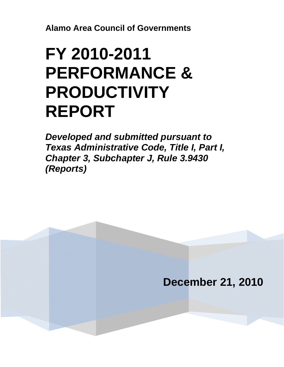**Alamo Area Council of Governments**

## **FY 2010-2011 PERFORMANCE & PRODUCTIVITY REPORT**

*Developed and submitted pursuant to Texas Administrative Code, Title I, Part I, Chapter 3, Subchapter J, Rule 3.9430 (Reports)* 

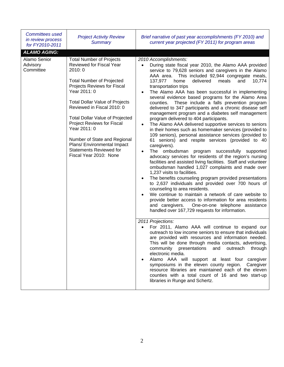| Committees used<br>in review process<br>for FY2010-2011 | <b>Project Activity Review</b><br><b>Summary</b>                                                                                                                                                                                                                                                                                                                                                                                                   | Brief narrative of past year accomplishments (FY 2010) and<br>current year projected (FY 2011) for program areas                                                                                                                                                                                                                                                                                                                                                                                                                                                                                                                                                                                                                                                                                                                                                                                                                                                                                                                                                                                                                                                                                                                                                                                                                                                                                                                                                                                                                                                                                                                                                                                                                                                                                                                                                                                          |
|---------------------------------------------------------|----------------------------------------------------------------------------------------------------------------------------------------------------------------------------------------------------------------------------------------------------------------------------------------------------------------------------------------------------------------------------------------------------------------------------------------------------|-----------------------------------------------------------------------------------------------------------------------------------------------------------------------------------------------------------------------------------------------------------------------------------------------------------------------------------------------------------------------------------------------------------------------------------------------------------------------------------------------------------------------------------------------------------------------------------------------------------------------------------------------------------------------------------------------------------------------------------------------------------------------------------------------------------------------------------------------------------------------------------------------------------------------------------------------------------------------------------------------------------------------------------------------------------------------------------------------------------------------------------------------------------------------------------------------------------------------------------------------------------------------------------------------------------------------------------------------------------------------------------------------------------------------------------------------------------------------------------------------------------------------------------------------------------------------------------------------------------------------------------------------------------------------------------------------------------------------------------------------------------------------------------------------------------------------------------------------------------------------------------------------------------|
| <b>ALAMO AGING:</b>                                     |                                                                                                                                                                                                                                                                                                                                                                                                                                                    |                                                                                                                                                                                                                                                                                                                                                                                                                                                                                                                                                                                                                                                                                                                                                                                                                                                                                                                                                                                                                                                                                                                                                                                                                                                                                                                                                                                                                                                                                                                                                                                                                                                                                                                                                                                                                                                                                                           |
| Alamo Senior<br>Advisory<br>Committee                   | <b>Total Number of Projects</b><br>Reviewed for Fiscal Year<br>2010:0<br><b>Total Number of Projected</b><br>Projects Reviews for Fiscal<br>Year 2011: 0<br><b>Total Dollar Value of Projects</b><br>Reviewed in Fiscal 2010: 0<br><b>Total Dollar Value of Projected</b><br>Project Reviews for Fiscal<br>Year 2011: 0<br>Number of State and Regional<br>Plans/ Environmental Impact<br><b>Statements Reviewed for</b><br>Fiscal Year 2010: None | 2010 Accomplishments:<br>During state fiscal year 2010, the Alamo AAA provided<br>$\bullet$<br>service to 79,628 seniors and caregivers in the Alamo<br>AAA area. This included 92,944 congregate meals,<br>137,977<br>10,774<br>home<br>delivered<br>meals<br>and<br>transportation trips<br>The Alamo AAA has been successful in implementing<br>$\bullet$<br>several evidence based programs for the Alamo Area<br>These include a falls prevention program<br>counties.<br>delivered to 347 participants and a chronic disease self<br>management program and a diabetes self management<br>program delivered to 404 participants.<br>The Alamo AAA delivered supportive services to seniors<br>$\bullet$<br>in their homes such as homemaker services (provided to<br>109 seniors), personal assistance services (provided to<br>61 seniors) and respite services (provided to 40<br>caregivers).<br>The ombudsman program successfully supported<br>$\bullet$<br>advocacy services for residents of the region's nursing<br>facilities and assisted living facilities. Staff and volunteer<br>ombudsman handled 1,027 complaints and made over<br>1,237 visits to facilities.<br>The benefits counseling program provided presentations<br>$\bullet$<br>to 2,637 individuals and provided over 700 hours of<br>counseling to area residents.<br>We continue to maintain a network of care website to<br>$\bullet$<br>provide better access to information for area residents<br>One-on-one telephone assistance<br>and caregivers.<br>handled over 167,729 requests for information.<br>2011 Projections:<br>For 2011, Alamo AAA will continue to expand our<br>outreach to low income seniors to ensure that individuals<br>are provided with resources and information needed.<br>This will be done through media contacts, advertising,<br>community presentations<br>and<br>outreach<br>through |
|                                                         |                                                                                                                                                                                                                                                                                                                                                                                                                                                    | electronic media.<br>Alamo AAA will support at least four caregiver<br>$\bullet$<br>symposiums in the eleven county region.<br>Caregiver<br>resource libraries are maintained each of the eleven<br>counties with a total count of 16 and two start-up<br>libraries in Runge and Schertz.                                                                                                                                                                                                                                                                                                                                                                                                                                                                                                                                                                                                                                                                                                                                                                                                                                                                                                                                                                                                                                                                                                                                                                                                                                                                                                                                                                                                                                                                                                                                                                                                                 |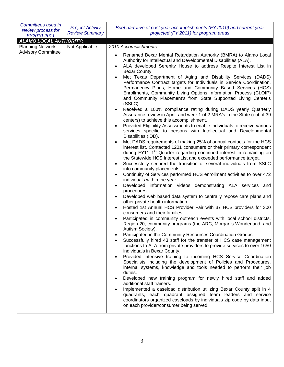| Committees used in<br>review process for<br>FY2010-2011 | <b>Project Activity</b><br><b>Review Summary</b> | Brief narrative of past year accomplishments (FY 2010) and current year<br>projected (FY 2011) for program areas                                                                                                                                                                                                                                                                                                                     |
|---------------------------------------------------------|--------------------------------------------------|--------------------------------------------------------------------------------------------------------------------------------------------------------------------------------------------------------------------------------------------------------------------------------------------------------------------------------------------------------------------------------------------------------------------------------------|
| <b>ALAMO LOCAL AUTHORITY:</b>                           |                                                  |                                                                                                                                                                                                                                                                                                                                                                                                                                      |
| <b>Planning Network</b>                                 | Not Applicable                                   | 2010 Accomplishments:                                                                                                                                                                                                                                                                                                                                                                                                                |
| <b>Advisory Committee</b>                               |                                                  |                                                                                                                                                                                                                                                                                                                                                                                                                                      |
|                                                         |                                                  | Renamed Bexar Mental Retardation Authority (BMRA) to Alamo Local<br>٠<br>Authority for Intellectual and Developmental Disabilities (ALA).<br>ALA developed Serenity House to address Respite Interest List in<br>$\bullet$<br>Bexar County.                                                                                                                                                                                          |
|                                                         |                                                  | Met Texas Department of Aging and Disability Services (DADS)<br>Performance Contract targets for Individuals in Service Coordination,<br>Permanency Plans, Home and Community Based Services (HCS)<br>Enrollments, Community Living Options Information Process (CLOIP)<br>and Community Placement's from State Supported Living Center's<br>(SSLC).                                                                                 |
|                                                         |                                                  | Received a 100% compliance rating during DADS yearly Quarterly<br>$\bullet$<br>Assurance review in April, and were 1 of 2 MRA's in the State (out of 39<br>centers) to achieve this accomplishment.<br>Provided Eligibility Assessments to enable individuals to receive various<br>$\bullet$<br>services specific to persons with Intellectual and Developmental                                                                    |
|                                                         |                                                  | Disabilities (IDD).                                                                                                                                                                                                                                                                                                                                                                                                                  |
|                                                         |                                                  | Met DADS requirements of making 25% of annual contacts for the HCS<br>$\bullet$<br>interest list. Contacted 1201 consumers or their primary correspondent<br>during FY11 1 <sup>st</sup> Quarter regarding continued interest in remaining on<br>the Statewide HCS Interest List and exceeded performance target.<br>Successfully secured the transition of several individuals from SSLC<br>$\bullet$<br>into community placements. |
|                                                         |                                                  | Continuity of Services performed HCS enrollment activities to over 472<br>٠<br>individuals within the year.                                                                                                                                                                                                                                                                                                                          |
|                                                         |                                                  | Developed information videos demonstrating ALA services and<br>٠<br>procedures.                                                                                                                                                                                                                                                                                                                                                      |
|                                                         |                                                  | Developed web based data system to centrally repose care plans and<br>other private health information.                                                                                                                                                                                                                                                                                                                              |
|                                                         |                                                  | Hosted 1st Annual HCS Provider Fair with 37 HCS providers for 300<br>٠<br>consumers and their families.                                                                                                                                                                                                                                                                                                                              |
|                                                         |                                                  | Participated in community outreach events with local school districts,<br>Region 20, community programs (the ARC, Morgan's Wonderland, and<br>Autism Society).                                                                                                                                                                                                                                                                       |
|                                                         |                                                  | Participated in the Community Resources Coordination Groups.<br>٠<br>Successfully hired 43 staff for the transfer of HCS case management<br>functions to ALA from private providers to provide services to over 1650<br>individuals in Bexar County.                                                                                                                                                                                 |
|                                                         |                                                  | Provided intensive training to incoming HCS Service Coordination<br>$\bullet$<br>Specialists including the development of Policies and Procedures,<br>internal systems, knowledge and tools needed to perform their job<br>duties.                                                                                                                                                                                                   |
|                                                         |                                                  | Developed new training program for newly hired staff and added<br>$\bullet$<br>additional staff trainers.                                                                                                                                                                                                                                                                                                                            |
|                                                         |                                                  | Implemented a caseload distribution utilizing Bexar County split in 4<br>$\bullet$<br>quadrants, each quadrant assigned team leaders and service<br>coordinators organized caseloads by individuals zip code by data input<br>on each provider/consumer being served.                                                                                                                                                                |
|                                                         |                                                  |                                                                                                                                                                                                                                                                                                                                                                                                                                      |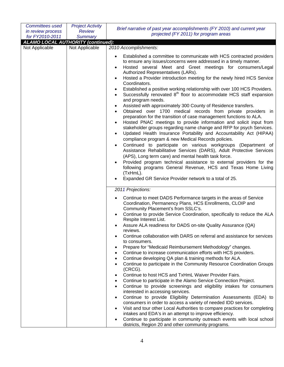| <b>Committees used</b><br>in review process<br>for FY2010-2011 | <b>Project Activity</b><br><b>Review</b><br><b>Summary</b> | Brief narrative of past year accomplishments (FY 2010) and current year<br>projected (FY 2011) for program areas                                                                                                                                                                                                                                                                                                                                                                                                                                                                                                                                                                                                                                                                                                                                                                                                                                                                                                                                                                                                                                                                                                                                                                                                                                                                                                                             |
|----------------------------------------------------------------|------------------------------------------------------------|----------------------------------------------------------------------------------------------------------------------------------------------------------------------------------------------------------------------------------------------------------------------------------------------------------------------------------------------------------------------------------------------------------------------------------------------------------------------------------------------------------------------------------------------------------------------------------------------------------------------------------------------------------------------------------------------------------------------------------------------------------------------------------------------------------------------------------------------------------------------------------------------------------------------------------------------------------------------------------------------------------------------------------------------------------------------------------------------------------------------------------------------------------------------------------------------------------------------------------------------------------------------------------------------------------------------------------------------------------------------------------------------------------------------------------------------|
| <b>ALAMO LOCAL AUTHORITY (continued):</b>                      |                                                            |                                                                                                                                                                                                                                                                                                                                                                                                                                                                                                                                                                                                                                                                                                                                                                                                                                                                                                                                                                                                                                                                                                                                                                                                                                                                                                                                                                                                                                              |
| Not Applicable                                                 | Not Applicable                                             | 2010 Accomplishments:                                                                                                                                                                                                                                                                                                                                                                                                                                                                                                                                                                                                                                                                                                                                                                                                                                                                                                                                                                                                                                                                                                                                                                                                                                                                                                                                                                                                                        |
|                                                                |                                                            |                                                                                                                                                                                                                                                                                                                                                                                                                                                                                                                                                                                                                                                                                                                                                                                                                                                                                                                                                                                                                                                                                                                                                                                                                                                                                                                                                                                                                                              |
|                                                                |                                                            | Established a committee to communicate with HCS contracted providers<br>to ensure any issues/concerns were addressed in a timely manner.<br>Hosted several Meet and Greet meetings for consumers/Legal<br>Authorized Representatives (LARs).<br>Hosted a Provider introduction meeting for the newly hired HCS Service<br>Coordinators.<br>Established a positive working relationship with over 100 HCS Providers.<br>Successfully renovated 8 <sup>th</sup> floor to accommodate HCS staff expansion<br>$\bullet$<br>and program needs.<br>Assisted with approximately 300 County of Residence transfers.<br>Obtained over 1700 medical records from private providers in<br>preparation for the transition of case management functions to ALA.<br>Hosted PNAC meetings to provide information and solicit input from<br>stakeholder groups regarding name change and RFP for psych Services.<br>Updated Health Insurance Portability and Accountability Act (HIPAA)<br>compliance program & new Medical Records policies.<br>Continued to participate on various workgroups (Department of<br>Assistance Rehabilitative Services (DARS), Adult Protective Services<br>(APS), Long term care) and mental health task force.<br>Provided program technical assistance to external providers for the<br>following programs General Revenue, HCS and Texas Home Living<br>(TxHmL).<br>Expanded GR Service Provider network to a total of 25. |
|                                                                |                                                            | 2011 Projections:                                                                                                                                                                                                                                                                                                                                                                                                                                                                                                                                                                                                                                                                                                                                                                                                                                                                                                                                                                                                                                                                                                                                                                                                                                                                                                                                                                                                                            |
|                                                                |                                                            |                                                                                                                                                                                                                                                                                                                                                                                                                                                                                                                                                                                                                                                                                                                                                                                                                                                                                                                                                                                                                                                                                                                                                                                                                                                                                                                                                                                                                                              |
|                                                                |                                                            | Continue to meet DADS Performance targets in the areas of Service<br>Coordination, Permanency Plans, HCS Enrollments, CLOIP and<br>Community Placement's from SSLC's.<br>Continue to provide Service Coordination, specifically to reduce the ALA<br>Respite Interest List.                                                                                                                                                                                                                                                                                                                                                                                                                                                                                                                                                                                                                                                                                                                                                                                                                                                                                                                                                                                                                                                                                                                                                                  |
|                                                                |                                                            | Assure ALA readiness for DADS on-site Quality Assurance (QA)<br>reviews.                                                                                                                                                                                                                                                                                                                                                                                                                                                                                                                                                                                                                                                                                                                                                                                                                                                                                                                                                                                                                                                                                                                                                                                                                                                                                                                                                                     |
|                                                                |                                                            | Continue collaboration with DARS on referral and assistance for services<br>to consumers.<br>Prepare for "Medicaid Reimbursement Methodology" changes.<br>Continue to increase communication efforts with HCS providers.<br>$\bullet$                                                                                                                                                                                                                                                                                                                                                                                                                                                                                                                                                                                                                                                                                                                                                                                                                                                                                                                                                                                                                                                                                                                                                                                                        |
|                                                                |                                                            | Continue developing QA plan & training methods for ALA.<br>$\bullet$<br>Continue to participate in the Community Resource Coordination Groups<br>(CRCG).                                                                                                                                                                                                                                                                                                                                                                                                                                                                                                                                                                                                                                                                                                                                                                                                                                                                                                                                                                                                                                                                                                                                                                                                                                                                                     |
|                                                                |                                                            | Continue to host HCS and TxHmL Waiver Provider Fairs.<br>Continue to participate in the Alamo Service Connection Project.<br>$\bullet$<br>Continue to provide screenings and eligibility intakes for consumers<br>interested in accessing services.<br>Continue to provide Eligibility Determination Assessments (EDA) to<br>consumers in order to access a variety of needed IDD services.<br>Visit and tour other Local Authorities to compare practices for completing<br>$\bullet$                                                                                                                                                                                                                                                                                                                                                                                                                                                                                                                                                                                                                                                                                                                                                                                                                                                                                                                                                       |
|                                                                |                                                            | intakes and EDA's in an attempt to improve efficiency.<br>Continue to participate in community outreach events with local school<br>$\bullet$<br>districts, Region 20 and other community programs.                                                                                                                                                                                                                                                                                                                                                                                                                                                                                                                                                                                                                                                                                                                                                                                                                                                                                                                                                                                                                                                                                                                                                                                                                                          |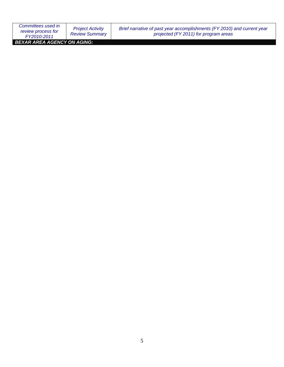| Committees used in<br>review process for<br>FY2010-2011 | <b>Project Activity</b><br><b>Review Summary</b> | Brief narrative of past year accomplishments (FY 2010) and current year<br>projected (FY 2011) for program areas |
|---------------------------------------------------------|--------------------------------------------------|------------------------------------------------------------------------------------------------------------------|
| BEXAR AREA AGENCY ON AGING:                             |                                                  |                                                                                                                  |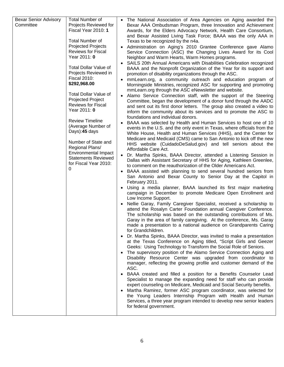| <b>Bexar Senior Advisory</b> | <b>Total Number of</b>                               | • The National Association of Area Agencies on Aging awarded the                                                                                                                                    |
|------------------------------|------------------------------------------------------|-----------------------------------------------------------------------------------------------------------------------------------------------------------------------------------------------------|
| Committee                    | Projects Reviewed for<br>Fiscal Year 2010: 1         | Bexar AAA Ombudsman Program, three Innovation and Achievement<br>Awards, for the Elders Advocacy Network, Health Care Consortium,<br>and Bexar Assisted Living Task Force; BAAA was the only AAA in |
|                              | <b>Total Number of</b><br><b>Projected Projects</b>  | Texas to be recognized by the n4a.                                                                                                                                                                  |
|                              | <b>Reviews for Fiscal</b>                            | • Administration on Aging's 2010 Grantee Conference gave Alamo<br>Service Connection (ASC) the Changing Lives Award for its Cool                                                                    |
|                              | Year 2011: 0                                         | Neighbor and Warm Hearts, Warm Homes programs.                                                                                                                                                      |
|                              |                                                      | SAILS 20th Annual Americans with Disabilities Celebration recognized                                                                                                                                |
|                              | <b>Total Dollar Value of</b><br>Projects Reviewed in | BAAA and the Nonprofit Organization of the Year for its support and<br>promotion of disability organizations through the ASC.                                                                       |
|                              | <b>Fiscal 2010:</b>                                  | mmLearn.org, a community outreach and education program of                                                                                                                                          |
|                              | \$292,968.00                                         | Morningside Ministries, recognized ASC for supporting and promoting<br>mmLearn.org through the ASC eNewsletter and website.                                                                         |
|                              | <b>Total Dollar Value of</b><br>Projected Project    | • Alamo Service Connection staff, with the support of the Steering                                                                                                                                  |
|                              | <b>Reviews for Fiscal</b>                            | Committee, began the development of a donor fund through the AADC<br>and sent out its first donor letters. The group also created a video to                                                        |
|                              | Year 2011: 0                                         | inform the community about its services and to promote the ASC to<br>foundations and individual donors.                                                                                             |
|                              | <b>Review Timeline</b>                               | BAAA was selected by Health and Human Services to host one of 10                                                                                                                                    |
|                              | (Average Number of                                   | events in the U.S. and the only event in Texas, where officials from the                                                                                                                            |
|                              | Days):45 days                                        | White House, Health and Human Services (HHS), and the Center for                                                                                                                                    |
|                              | Number of State and                                  | Medicare and Medicaid (CMS) came to San Antonio to kick off the new<br>HHS website (CuidadoDeSalud.gov) and tell seniors about the                                                                  |
|                              | Regional Plans/                                      | Affordable Care Act.                                                                                                                                                                                |
|                              | <b>Environmental Impact</b>                          | • Dr. Martha Spinks, BAAA Director, attended a Listening Session in                                                                                                                                 |
|                              | <b>Statements Reviewed</b><br>for Fiscal Year 2010:  | Dallas with Assistant Secretary of HHS for Aging, Kathleen Greenlee,                                                                                                                                |
|                              | 0                                                    | to comment on the reauthorization of the Older Americans Act.                                                                                                                                       |
|                              |                                                      | • BAAA assisted with planning to send several hundred seniors from<br>San Antonio and Bexar County to Senior Day at the Capitol in<br>February 2011.                                                |
|                              |                                                      | Using a media planner, BAAA launched its first major marketing<br>campaign in December to promote Medicare Open Enrollment and                                                                      |
|                              |                                                      | Low Income Support.                                                                                                                                                                                 |
|                              |                                                      | Nellie Garay, Family Caregiver Specialist, received a scholarship to<br>attend the Rosalyn Carter Foundation annual Caregiver Conference.                                                           |
|                              |                                                      | The scholarship was based on the outstanding contributions of Ms.                                                                                                                                   |
|                              |                                                      | Garay in the area of family caregiving. At the conference, Ms. Garay                                                                                                                                |
|                              |                                                      | made a presentation to a national audience on Grandparents Caring<br>for Grandchildren.                                                                                                             |
|                              |                                                      | Dr. Martha Spinks, BAAA Director, was invited to make a presentation                                                                                                                                |
|                              |                                                      | at the Texas Conference on Aging titled, "Script Girls and Geezer                                                                                                                                   |
|                              |                                                      | Geeks: Using Technology to Transform the Social Role of Seniors.                                                                                                                                    |
|                              |                                                      | The supervisory position of the Alamo Service Connection Aging and                                                                                                                                  |
|                              |                                                      | Disability Resource Center was upgraded from coordinator to<br>manager, reflecting the growing profile and customer demand of the                                                                   |
|                              |                                                      | ASC.                                                                                                                                                                                                |
|                              |                                                      | BAAA created and filled a position for a Benefits Counselor Lead                                                                                                                                    |
|                              |                                                      | Specialist to manage the expanding need for staff who can provide                                                                                                                                   |
|                              |                                                      | expert counseling on Medicare, Medicaid and Social Security benefits.<br>Martha Ramirez, former ASC program coordinator, was selected for                                                           |
|                              |                                                      | the Young Leaders Internship Program with Health and Human                                                                                                                                          |
|                              |                                                      | Services, a three year program intended to develop new senior leaders<br>for federal government.                                                                                                    |
|                              |                                                      |                                                                                                                                                                                                     |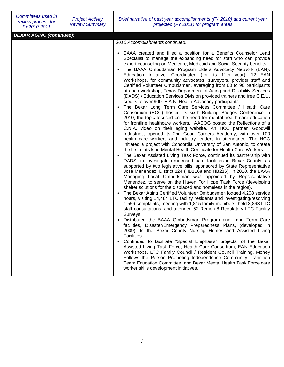| Committees used in<br>review process for<br>FY2010-2011 | <b>Project Activity</b><br><b>Review Summary</b> | Brief narrative of past year accomplishments (FY 2010) and current year<br>projected (FY 2011) for program areas                                                                                                                                                                                                                                                                                                                                                                                                                                                                                                                                                                                                       |
|---------------------------------------------------------|--------------------------------------------------|------------------------------------------------------------------------------------------------------------------------------------------------------------------------------------------------------------------------------------------------------------------------------------------------------------------------------------------------------------------------------------------------------------------------------------------------------------------------------------------------------------------------------------------------------------------------------------------------------------------------------------------------------------------------------------------------------------------------|
| <b>BEXAR AGING (continued):</b>                         |                                                  |                                                                                                                                                                                                                                                                                                                                                                                                                                                                                                                                                                                                                                                                                                                        |
|                                                         |                                                  | 2010 Accomplishments continued:<br>• BAAA created and filled a position for a Benefits Counselor Lead<br>Specialist to manage the expanding need for staff who can provide                                                                                                                                                                                                                                                                                                                                                                                                                                                                                                                                             |
|                                                         |                                                  | expert counseling on Medicare, Medicaid and Social Security benefits.<br>The BAAA Ombudsman Program Elders Advocacy Network (EAN):<br>Education Initiative; Coordinated (for its 11th year), 12 EAN<br>Workshops, for community advocates, surveyors, provider staff and<br>Certified Volunteer Ombudsmen, averaging from 60 to 90 participants<br>at each workshop; Texas Department of Aging and Disability Services<br>(DADS) / Education Services Division provided trainers and free C.E.U.<br>credits to over 900 E.A.N. Health Advocacy participants.                                                                                                                                                           |
|                                                         |                                                  | The Bexar Long Term Care Services Committee / Health Care<br>Consortium (HCC) hosted its sixth Building Bridges Conference in<br>2010, the topic focused on the need for mental health care education<br>for frontline healthcare workers. AACOG posted the Reflections of a<br>C.N.A. video on their aging website. An HCC partner, Goodwill<br>Industries, opened its 2nd Good Careers Academy, with over 100                                                                                                                                                                                                                                                                                                        |
|                                                         |                                                  | health care workers and industry leaders in attendance. The HCC<br>initiated a project with Concordia University of San Antonio, to create<br>the first of its kind Mental Health Certificate for Health Care Workers.<br>The Bexar Assisted Living Task Force, continued its partnership with<br>DADS, to investigate unlicensed care facilities in Bexar County, as<br>supported by two legislative bills, sponsored by State Representative<br>Jose Menendez, District 124 (HB1168 and HB216). In 2010, the BAAA<br>Managing Local Ombudsman was appointed by Representative<br>Menendez, to serve on the Haven For Hope Task Force (developing<br>shelter solutions for the displaced and homeless in the region). |
|                                                         |                                                  | The Bexar Aging Certified Volunteer Ombudsmen logged 4,208 service<br>$\bullet$<br>hours, visiting 14,484 LTC facility residents and investigating/resolving<br>1,556 complaints, meeting with 1,815 family members, held 3,893 LTC<br>staff consultations, and attended 52 Region 8 Regulatory LTC Facility<br>Surveys.                                                                                                                                                                                                                                                                                                                                                                                               |
|                                                         |                                                  | Distributed the BAAA Ombudsman Program and Long Term Care<br>facilities, Disaster/Emergency Preparedness Plans, (developed in<br>2009), to the Bexar County Nursing Homes and Assisted Living<br>Facilities.                                                                                                                                                                                                                                                                                                                                                                                                                                                                                                           |
|                                                         |                                                  | Continued to facilitate "Special Emphasis" projects, of the Bexar<br>Assisted Living Task Force, Health Care Consortium, EAN Education<br>Workshops, LTC Family Council / Resident Council Training, Money<br>Follows the Person Promoting Independence Community Transition<br>Team Education Committee, and Bexar Mental Health Task Force care<br>worker skills development initiatives.                                                                                                                                                                                                                                                                                                                            |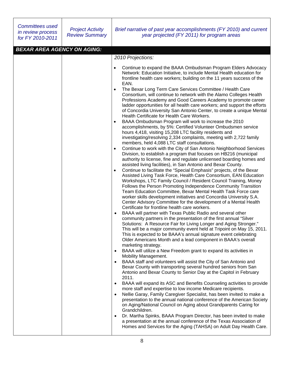| <b>Committees used</b><br>in review process<br>for FY 2010-2011 | <b>Project Activity</b><br><b>Review Summary</b> | Brief narrative of past year accomplishments (FY 2010) and current<br>year projected (FY 2011) for program areas                                                                                                                                                                                                                                                                                                                                                                                                                                                                                                                                                                                                                                                                                                                                                                                                                                                                                                                                                                                                                                                                                                                                                                                                                                                                                                                                                                                                                                                                                                                                                                                                                                                                                                                                                                                                                                                                                                                                                                                                                                                                                                                                                                                                                                                                                                                                                                                                                                                                                                                                                                                                                                                                                                                                                                                                                                                                                            |
|-----------------------------------------------------------------|--------------------------------------------------|-------------------------------------------------------------------------------------------------------------------------------------------------------------------------------------------------------------------------------------------------------------------------------------------------------------------------------------------------------------------------------------------------------------------------------------------------------------------------------------------------------------------------------------------------------------------------------------------------------------------------------------------------------------------------------------------------------------------------------------------------------------------------------------------------------------------------------------------------------------------------------------------------------------------------------------------------------------------------------------------------------------------------------------------------------------------------------------------------------------------------------------------------------------------------------------------------------------------------------------------------------------------------------------------------------------------------------------------------------------------------------------------------------------------------------------------------------------------------------------------------------------------------------------------------------------------------------------------------------------------------------------------------------------------------------------------------------------------------------------------------------------------------------------------------------------------------------------------------------------------------------------------------------------------------------------------------------------------------------------------------------------------------------------------------------------------------------------------------------------------------------------------------------------------------------------------------------------------------------------------------------------------------------------------------------------------------------------------------------------------------------------------------------------------------------------------------------------------------------------------------------------------------------------------------------------------------------------------------------------------------------------------------------------------------------------------------------------------------------------------------------------------------------------------------------------------------------------------------------------------------------------------------------------------------------------------------------------------------------------------------------------|
| <b>BEXAR AREA AGENCY ON AGING:</b>                              |                                                  |                                                                                                                                                                                                                                                                                                                                                                                                                                                                                                                                                                                                                                                                                                                                                                                                                                                                                                                                                                                                                                                                                                                                                                                                                                                                                                                                                                                                                                                                                                                                                                                                                                                                                                                                                                                                                                                                                                                                                                                                                                                                                                                                                                                                                                                                                                                                                                                                                                                                                                                                                                                                                                                                                                                                                                                                                                                                                                                                                                                                             |
|                                                                 |                                                  |                                                                                                                                                                                                                                                                                                                                                                                                                                                                                                                                                                                                                                                                                                                                                                                                                                                                                                                                                                                                                                                                                                                                                                                                                                                                                                                                                                                                                                                                                                                                                                                                                                                                                                                                                                                                                                                                                                                                                                                                                                                                                                                                                                                                                                                                                                                                                                                                                                                                                                                                                                                                                                                                                                                                                                                                                                                                                                                                                                                                             |
|                                                                 |                                                  |                                                                                                                                                                                                                                                                                                                                                                                                                                                                                                                                                                                                                                                                                                                                                                                                                                                                                                                                                                                                                                                                                                                                                                                                                                                                                                                                                                                                                                                                                                                                                                                                                                                                                                                                                                                                                                                                                                                                                                                                                                                                                                                                                                                                                                                                                                                                                                                                                                                                                                                                                                                                                                                                                                                                                                                                                                                                                                                                                                                                             |
|                                                                 |                                                  | 2010 Projections:<br>Continue to expand the BAAA Ombudsman Program Elders Advocacy<br>$\bullet$<br>Network: Education Initiative, to include Mental Health education for<br>frontline health care workers; building on the 11 years success of the<br>EAN.<br>The Bexar Long Term Care Services Committee / Health Care<br>$\bullet$<br>Consortium, will continue to network with the Alamo Colleges Health<br>Professions Academy and Good Careers Academy to promote career<br>ladder opportunities for all health care workers; and support the efforts<br>of Concordia University San Antonio Center, to create a unique Mental<br>Health Certificate for Health Care Workers.<br>BAAA Ombudsman Program will work to increase the 2010<br>$\bullet$<br>accomplishments, by 5%: Certified Volunteer Ombudsmen service<br>hours 4,418, visiting 15,208 LTC facility residents and<br>investigating/resolving 2,334 complaints, meeting with 2,722 family<br>members, held 4,088 LTC staff consultations.<br>Continue to work with the City of San Antonio Neighborhood Services<br>$\bullet$<br>Division, to establish a program that focuses on HB216 (municipal<br>authority to license, fine and regulate unlicensed boarding homes and<br>assisted living facilities), in San Antonio and Bexar County.<br>Continue to facilitate the "Special Emphasis" projects, of the Bexar<br>$\bullet$<br>Assisted Living Task Force, Health Care Consortium, EAN Education<br>Workshops, LTC Family Council / Resident Council Training, Money<br>Follows the Person Promoting Independence Community Transition<br>Team Education Committee, Bexar Mental Health Task Force care<br>worker skills development initiatives and Concordia University S.A.<br>Center Advisory Committee for the development of a Mental Health<br>Certificate for frontline health care workers.<br>BAAA will partner with Texas Public Radio and several other<br>$\bullet$<br>community partners in the presentation of the first annual "Silver<br>Solutions: A Resource Fair for Living Longer and Aging Stronger."<br>This will be a major community event held at Tripoint on May 15, 2011.<br>This is expected to be BAAA's annual signature event celebrating<br>Older Americans Month and a lead component in BAAA's overall<br>marketing strategy.<br>BAAA will utilize a New Freedom grant to expand its activities in<br>$\bullet$<br>Mobility Management.<br>BAAA staff and volunteers will assist the City of San Antonio and<br>$\bullet$<br>Bexar County with transporting several hundred seniors from San<br>Antonio and Bexar County to Senior Day at the Capitol in February<br>2011.<br>BAAA will expand its ASC and Benefits Counseling activities to provide<br>$\bullet$<br>more staff and expertise to low income Medicare recipients.<br>Nellie Garay, Family Caregiver Specialist, has been invited to make a<br>$\bullet$<br>presentation to the annual national conference of the American Society |
|                                                                 |                                                  | on Aging/National Council on Aging about Grandparents Caring for                                                                                                                                                                                                                                                                                                                                                                                                                                                                                                                                                                                                                                                                                                                                                                                                                                                                                                                                                                                                                                                                                                                                                                                                                                                                                                                                                                                                                                                                                                                                                                                                                                                                                                                                                                                                                                                                                                                                                                                                                                                                                                                                                                                                                                                                                                                                                                                                                                                                                                                                                                                                                                                                                                                                                                                                                                                                                                                                            |
|                                                                 |                                                  | Grandchildren.<br>Dr. Martha Spinks, BAAA Program Director, has been invited to make<br>$\bullet$<br>a presentation at the annual conference of the Texas Association of                                                                                                                                                                                                                                                                                                                                                                                                                                                                                                                                                                                                                                                                                                                                                                                                                                                                                                                                                                                                                                                                                                                                                                                                                                                                                                                                                                                                                                                                                                                                                                                                                                                                                                                                                                                                                                                                                                                                                                                                                                                                                                                                                                                                                                                                                                                                                                                                                                                                                                                                                                                                                                                                                                                                                                                                                                    |
|                                                                 |                                                  | Homes and Services for the Aging (TAHSA) on Adult Day Health Care.                                                                                                                                                                                                                                                                                                                                                                                                                                                                                                                                                                                                                                                                                                                                                                                                                                                                                                                                                                                                                                                                                                                                                                                                                                                                                                                                                                                                                                                                                                                                                                                                                                                                                                                                                                                                                                                                                                                                                                                                                                                                                                                                                                                                                                                                                                                                                                                                                                                                                                                                                                                                                                                                                                                                                                                                                                                                                                                                          |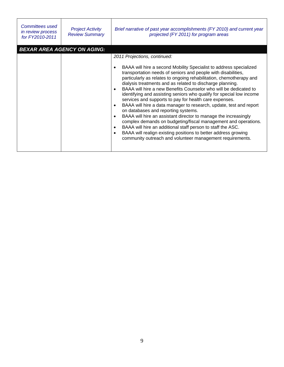| Committees used<br>in review process<br>for FY2010-2011 | <b>Project Activity</b><br><b>Review Summary</b> | Brief narrative of past year accomplishments (FY 2010) and current year<br>projected (FY 2011) for program areas                                                                                                                                                                                                                                                                                                                                                                                                                                                                                                                                                                                                                                                                                                                                                                                                                                                                |
|---------------------------------------------------------|--------------------------------------------------|---------------------------------------------------------------------------------------------------------------------------------------------------------------------------------------------------------------------------------------------------------------------------------------------------------------------------------------------------------------------------------------------------------------------------------------------------------------------------------------------------------------------------------------------------------------------------------------------------------------------------------------------------------------------------------------------------------------------------------------------------------------------------------------------------------------------------------------------------------------------------------------------------------------------------------------------------------------------------------|
|                                                         | <b>BEXAR AREA AGENCY ON AGING:</b>               |                                                                                                                                                                                                                                                                                                                                                                                                                                                                                                                                                                                                                                                                                                                                                                                                                                                                                                                                                                                 |
|                                                         |                                                  | 2011 Projections, continued:<br>BAAA will hire a second Mobility Specialist to address specialized<br>transportation needs of seniors and people with disabilities,<br>particularly as relates to ongoing rehabilitation, chemotherapy and<br>dialysis treatments and as related to discharge planning.<br>BAAA will hire a new Benefits Counselor who will be dedicated to<br>identifying and assisting seniors who qualify for special low income<br>services and supports to pay for health care expenses.<br>BAAA will hire a data manager to research, update, test and report<br>on databases and reporting systems.<br>BAAA will hire an assistant director to manage the increasingly<br>٠<br>complex demands on budgeting/fiscal management and operations.<br>BAAA will hire an additional staff person to staff the ASC.<br>BAAA will realign existing positions to better address growing<br>$\bullet$<br>community outreach and volunteer management requirements. |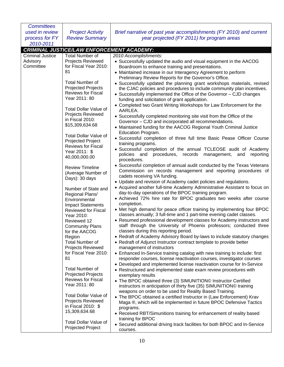| <b>Committees</b>       |                                           |                                                                            |
|-------------------------|-------------------------------------------|----------------------------------------------------------------------------|
| used in review          | <b>Project Activity</b>                   | Brief narrative of past year accomplishments (FY 2010) and current         |
| process for FY          | <b>Review Summary</b>                     | year projected (FY 2011) for program areas                                 |
| 2010-2011               |                                           |                                                                            |
|                         | CRIMINAL JUSTICE/LAW ENFORCEMENT ACADEMY: |                                                                            |
| <b>Criminal Justice</b> | <b>Total Number of</b>                    | 2010 Accomplishments:                                                      |
| Advisory                | <b>Projects Reviewed</b>                  | • Successfully updated the audio and visual equipment in the AACOG         |
| Committee               | for Fiscal Year 2010:                     | Boardroom to enhance training and presentations.                           |
|                         | 81                                        | • Maintained increase in our Interagency Agreement to perform              |
|                         |                                           | Preliminary Review Reports for the Governor's Office.                      |
|                         | <b>Total Number of</b>                    |                                                                            |
|                         | Projected Projects                        | • Successfully updated the planning grant workshops materials, revised     |
|                         | <b>Reviews for Fiscal</b>                 | the CJAC policies and procedures to include community plan incentives.     |
|                         | Year 2011: 80                             | • Successfully implemented the Office of the Governor - CJD changes        |
|                         |                                           | funding and solicitation of grant application.                             |
|                         | <b>Total Dollar Value of</b>              | • Completed two Grant Writing Workshops for Law Enforcement for the        |
|                         | Projects Reviewed                         | AARLEA.                                                                    |
|                         | in Fiscal 2010:                           | • Successfully completed monitoring site visit from the Office of the      |
|                         | \$15,309,634.68                           | Governor - CJD and incorporated all recommendations.                       |
|                         |                                           | • Maintained funding for the AACOG Regional Youth Criminal Justice         |
|                         | <b>Total Dollar Value of</b>              | Education Program.                                                         |
|                         | <b>Projected Project</b>                  | • Successful completion of three full time Basic Pease Officer Course      |
|                         | <b>Reviews for Fiscal</b>                 | training programs.                                                         |
|                         | Year 2011: \$                             | • Successful completion of the annual TCLEOSE audit of Academy             |
|                         | 40,000,000.00                             | policies and procedures, records<br>management,<br>and<br>reporting        |
|                         |                                           | procedures.                                                                |
|                         | <b>Review Timeline</b>                    | • Successful completion of annual audit conducted by the Texas Veterans    |
|                         | (Average Number of                        | Commission on records management and reporting procedures of               |
|                         | Days): 30 days                            | cadets receiving VA funding.                                               |
|                         |                                           | • Update and revision of Academy cadet policies and regulations.           |
|                         | Number of State and                       | • Acquired another full-time Academy Administrative Assistant to focus on  |
|                         | Regional Plans/                           | day-to-day operations of the BPOC training program.                        |
|                         | Environmental                             | • Achieved 72% hire rate for BPOC graduates two weeks after course         |
|                         | <b>Impact Statements</b>                  | completion.                                                                |
|                         | Reviewed for Fiscal                       | • Met high demand for peace officer training by implementing four BPOC     |
|                         | Year 2010:                                | classes annually; 3 full-time and 1 part-time evening cadet classes.       |
|                         | Reviewed 12                               | • Resumed professional development classes for Academy instructors and     |
|                         | <b>Community Plans</b>                    | staff through the University of Phoenix professors; conducted three        |
|                         | for the AACOG                             | classes during this reporting period.                                      |
|                         | Region                                    | • Redraft of Academy Advisory Board by-laws to include statutory changes   |
|                         | <b>Total Number of</b>                    | • Redraft of Adjunct Instructor contract template to provide better        |
|                         | Projects Reviewed                         | management of instructors                                                  |
|                         | for Fiscal Year 2010:                     | • Enhanced In-Service training catalog with new training to include: first |
|                         | 81                                        | responder courses, license reactivation courses, investigator courses      |
|                         |                                           | • Developed and implemented license reactivation course for In-Service     |
|                         | <b>Total Number of</b>                    | • Restructured and implemented state exam review procedures with           |
|                         | <b>Projected Projects</b>                 | exemplary results                                                          |
|                         | <b>Reviews for Fiscal</b>                 | • The BPOC obtained three (3) SIMUNITION© Instructor Certified             |
|                         | Year 2011: 80                             | instructors in anticipation of thirty five (35) SIMUNITION© training       |
|                         |                                           | weapons on order to be used for Reality Based Training.                    |
|                         | <b>Total Dollar Value of</b>              | • The BPOC obtained a certified Instructor in (Law Enforcement) Krav       |
|                         | Projects Reviewed                         | Maga ®, which will be implemented in future BPOC Defensive Tactics         |
|                         | in Fiscal 2010: \$                        | programs.                                                                  |
|                         | 15,309,634.68                             | • Received RBT/Simunitions training for enhancement of reality based       |
|                         |                                           | training for BPOC                                                          |
|                         | <b>Total Dollar Value of</b>              | • Secured additional driving track facilities for both BPOC and In-Service |
|                         | <b>Projected Project</b>                  | courses.                                                                   |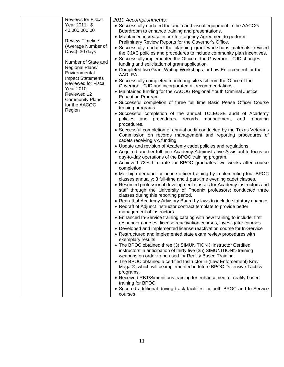| <b>Reviews for Fiscal</b>             | 2010 Accomplishments:                                                                                                                          |
|---------------------------------------|------------------------------------------------------------------------------------------------------------------------------------------------|
| Year 2011: \$                         | • Successfully updated the audio and visual equipment in the AACOG                                                                             |
| 40,000,000.00                         | Boardroom to enhance training and presentations.                                                                                               |
|                                       | • Maintained increase in our Interagency Agreement to perform                                                                                  |
| <b>Review Timeline</b>                | Preliminary Review Reports for the Governor's Office.                                                                                          |
| (Average Number of<br>Days): 30 days  | • Successfully updated the planning grant workshops materials, revised                                                                         |
|                                       | the CJAC policies and procedures to include community plan incentives.                                                                         |
| Number of State and                   | • Successfully implemented the Office of the Governor - CJD changes                                                                            |
| Regional Plans/                       | funding and solicitation of grant application.<br>• Completed two Grant Writing Workshops for Law Enforcement for the                          |
| Environmental                         | AARLEA.                                                                                                                                        |
| <b>Impact Statements</b>              | • Successfully completed monitoring site visit from the Office of the                                                                          |
| Reviewed for Fiscal                   | Governor - CJD and incorporated all recommendations.                                                                                           |
| Year 2010:                            | • Maintained funding for the AACOG Regional Youth Criminal Justice                                                                             |
| Reviewed 12<br><b>Community Plans</b> | Education Program.                                                                                                                             |
| for the AACOG                         | • Successful completion of three full time Basic Pease Officer Course                                                                          |
| Region                                | training programs.                                                                                                                             |
|                                       | • Successful completion of the annual TCLEOSE audit of Academy                                                                                 |
|                                       | policies and procedures, records management, and<br>reporting                                                                                  |
|                                       | procedures.<br>• Successful completion of annual audit conducted by the Texas Veterans                                                         |
|                                       | Commission on records management and reporting procedures of                                                                                   |
|                                       | cadets receiving VA funding.                                                                                                                   |
|                                       | • Update and revision of Academy cadet policies and regulations.                                                                               |
|                                       | • Acquired another full-time Academy Administrative Assistant to focus on                                                                      |
|                                       | day-to-day operations of the BPOC training program.                                                                                            |
|                                       | • Achieved 72% hire rate for BPOC graduates two weeks after course                                                                             |
|                                       | completion.                                                                                                                                    |
|                                       | • Met high demand for peace officer training by implementing four BPOC                                                                         |
|                                       | classes annually; 3 full-time and 1 part-time evening cadet classes.<br>• Resumed professional development classes for Academy instructors and |
|                                       | staff through the University of Phoenix professors; conducted three                                                                            |
|                                       | classes during this reporting period.                                                                                                          |
|                                       | • Redraft of Academy Advisory Board by-laws to include statutory changes                                                                       |
|                                       | • Redraft of Adjunct Instructor contract template to provide better                                                                            |
|                                       | management of instructors                                                                                                                      |
|                                       | • Enhanced In-Service training catalog with new training to include: first                                                                     |
|                                       | responder courses, license reactivation courses, investigator courses                                                                          |
|                                       | • Developed and implemented license reactivation course for In-Service                                                                         |
|                                       | • Restructured and implemented state exam review procedures with<br>exemplary results                                                          |
|                                       | • The BPOC obtained three (3) SIMUNITION© Instructor Certified                                                                                 |
|                                       | instructors in anticipation of thirty five (35) SIMUNITION© training                                                                           |
|                                       | weapons on order to be used for Reality Based Training.                                                                                        |
|                                       | • The BPOC obtained a certified Instructor in (Law Enforcement) Krav                                                                           |
|                                       | Maga ®, which will be implemented in future BPOC Defensive Tactics                                                                             |
|                                       | programs.                                                                                                                                      |
|                                       | • Received RBT/Simunitions training for enhancement of reality-based                                                                           |
|                                       | training for BPOC                                                                                                                              |
|                                       | • Secured additional driving track facilities for both BPOC and In-Service<br>courses.                                                         |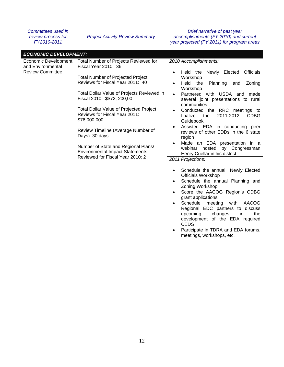| Committees used in<br>review process for<br>FY2010-2011                     | <b>Project Activity Review Summary</b>                                                                                                                                                                                                                                                                                                                                                                                                                                                                     | Brief narrative of past year<br>accomplishments (FY 2010) and current<br>year projected (FY 2011) for program areas                                                                                                                                                                                                                                                                                                                                                                                                                                                                                                                                                                                                                                                                                                                                                                                                                                                                                                  |
|-----------------------------------------------------------------------------|------------------------------------------------------------------------------------------------------------------------------------------------------------------------------------------------------------------------------------------------------------------------------------------------------------------------------------------------------------------------------------------------------------------------------------------------------------------------------------------------------------|----------------------------------------------------------------------------------------------------------------------------------------------------------------------------------------------------------------------------------------------------------------------------------------------------------------------------------------------------------------------------------------------------------------------------------------------------------------------------------------------------------------------------------------------------------------------------------------------------------------------------------------------------------------------------------------------------------------------------------------------------------------------------------------------------------------------------------------------------------------------------------------------------------------------------------------------------------------------------------------------------------------------|
| <b>ECONOMIC DEVELOPMENT:</b>                                                |                                                                                                                                                                                                                                                                                                                                                                                                                                                                                                            |                                                                                                                                                                                                                                                                                                                                                                                                                                                                                                                                                                                                                                                                                                                                                                                                                                                                                                                                                                                                                      |
| <b>Economic Development</b><br>and Environmental<br><b>Review Committee</b> | Total Number of Projects Reviewed for<br>Fiscal Year 2010: 36<br><b>Total Number of Projected Project</b><br>Reviews for Fiscal Year 2011: 40<br>Total Dollar Value of Projects Reviewed in<br>Fiscal 2010: \$\$72, 200,00<br><b>Total Dollar Value of Projected Project</b><br>Reviews for Fiscal Year 2011:<br>\$76,000,000<br>Review Timeline (Average Number of<br>Days): 30 days<br>Number of State and Regional Plans/<br><b>Environmental Impact Statements</b><br>Reviewed for Fiscal Year 2010: 2 | 2010 Accomplishments:<br>Held the Newly Elected<br><b>Officials</b><br>Workshop<br>Held<br>the<br>Planning<br>Zoning<br>and<br>$\bullet$<br>Workshop<br>Partnered with USDA and<br>made<br>$\bullet$<br>several joint presentations to rural<br>communities<br>Conducted the RRC meetings to<br>finalize<br>2011-2012<br><b>CDBG</b><br>the<br>Guidebook<br>Assisted EDA in conducting peer<br>reviews of other EDDs in the 6 state<br>region<br>Made an EDA presentation in a<br>by Congressman<br>webinar hosted<br>Henry Cuellar in his district<br>2011 Projections:<br>Schedule the annual<br>Newly Elected<br>Officials Workshop<br>Schedule the annual Planning and<br>Zoning Workshop<br>Score the AACOG Region's CDBG<br>$\bullet$<br>grant applications<br>Schedule<br>meeting<br>with<br>AACOG<br>$\bullet$<br>Regional EDC partners to discuss<br>upcoming<br>changes<br>the<br>in<br>development of the EDA required<br><b>CEDS</b><br>Participate in TDRA and EDA forums,<br>meetings, workshops, etc. |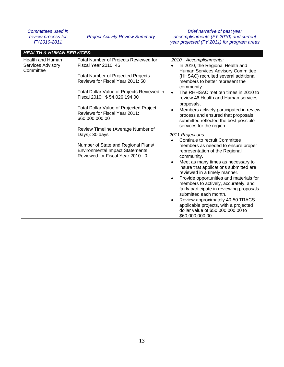| Committees used in<br>review process for<br>FY2010-2011 | <b>Project Activity Review Summary</b>                                                                                                                                                                                                                                                                                                                                   | Brief narrative of past year<br>accomplishments (FY 2010) and current<br>year projected (FY 2011) for program areas                                                                                                                                                                                                                                                                                                                                                                                                                                                                |
|---------------------------------------------------------|--------------------------------------------------------------------------------------------------------------------------------------------------------------------------------------------------------------------------------------------------------------------------------------------------------------------------------------------------------------------------|------------------------------------------------------------------------------------------------------------------------------------------------------------------------------------------------------------------------------------------------------------------------------------------------------------------------------------------------------------------------------------------------------------------------------------------------------------------------------------------------------------------------------------------------------------------------------------|
| <b>HEALTH &amp; HUMAN SERVICES:</b>                     |                                                                                                                                                                                                                                                                                                                                                                          |                                                                                                                                                                                                                                                                                                                                                                                                                                                                                                                                                                                    |
| Health and Human<br>Services Advisory<br>Committee      | Total Number of Projects Reviewed for<br>Fiscal Year 2010: 46<br><b>Total Number of Projected Projects</b><br>Reviews for Fiscal Year 2011: 50<br>Total Dollar Value of Projects Reviewed in<br>Fiscal 2010: \$54,026,194.00<br><b>Total Dollar Value of Projected Project</b><br>Reviews for Fiscal Year 2011:<br>\$60,000,000.00<br>Review Timeline (Average Number of | 2010 Accomplishments:<br>In 2010, the Regional Health and<br>Human Services Advisory Committee<br>(HHSAC) recruited several additional<br>members to better represent the<br>community.<br>The RHHSAC met ten times in 2010 to<br>review 46 Health and Human services<br>proposals.<br>Members actively participated in review<br>process and ensured that proposals<br>submitted reflected the best possible<br>services for the region.                                                                                                                                          |
|                                                         | Days): 30 days<br>Number of State and Regional Plans/<br><b>Environmental Impact Statements</b><br>Reviewed for Fiscal Year 2010: 0                                                                                                                                                                                                                                      | 2011 Projections:<br>Continue to recruit Committee<br>members as needed to ensure proper<br>representation of the Regional<br>community.<br>Meet as many times as necessary to<br>$\bullet$<br>insure that applications submitted are<br>reviewed in a timely manner.<br>Provide opportunities and materials for<br>members to actively, accurately, and<br>fairly participate in reviewing proposals<br>submitted each month.<br>Review approximately 40-50 TRACS<br>$\bullet$<br>applicable projects, with a projected<br>dollar value of \$50,000,000.00 to<br>\$60,000,000.00. |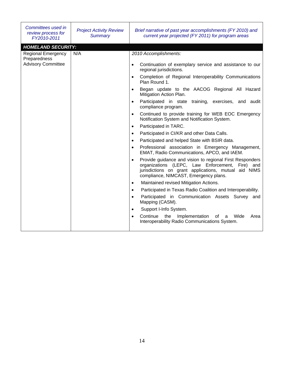| Committees used in<br>review process for<br>FY2010-2011                                             | <b>Project Activity Review</b><br><b>Summary</b> | Brief narrative of past year accomplishments (FY 2010) and<br>current year projected (FY 2011) for program areas                                                                                                                                                                                                                                                                                                                                                                                                                                                                                                                                                                                                                                                                                                                                                                                                                                                                                                                                                                                                                                                                                                                                                                                                                                                                                                                      |
|-----------------------------------------------------------------------------------------------------|--------------------------------------------------|---------------------------------------------------------------------------------------------------------------------------------------------------------------------------------------------------------------------------------------------------------------------------------------------------------------------------------------------------------------------------------------------------------------------------------------------------------------------------------------------------------------------------------------------------------------------------------------------------------------------------------------------------------------------------------------------------------------------------------------------------------------------------------------------------------------------------------------------------------------------------------------------------------------------------------------------------------------------------------------------------------------------------------------------------------------------------------------------------------------------------------------------------------------------------------------------------------------------------------------------------------------------------------------------------------------------------------------------------------------------------------------------------------------------------------------|
| <b>HOMELAND SECURITY:</b><br><b>Regional Emergency</b><br>Preparedness<br><b>Advisory Committee</b> | N/A                                              | 2010 Accomplishments:<br>Continuation of exemplary service and assistance to our<br>$\bullet$<br>regional jurisdictions.<br>Completion of Regional Interoperability Communications<br>$\bullet$<br>Plan Round 1.<br>Began update to the AACOG Regional All Hazard<br>$\bullet$<br>Mitigation Action Plan.<br>Participated in state training, exercises, and audit<br>$\bullet$<br>compliance program.<br>Continued to provide training for WEB EOC Emergency<br>$\bullet$<br>Notification System and Notification System.<br>Participated in TARC.<br>$\bullet$<br>Participated in CI/KR and other Data Calls.<br>$\bullet$<br>Participated and helped State with BSIR data.<br>$\bullet$<br>Professional association in Emergency Management,<br>$\bullet$<br>EMAT, Radio Communications, APCO, and IAEM.<br>Provide guidance and vision to regional First Responders<br>$\bullet$<br>organizations (LEPC, Law Enforcement,<br>Fire) and<br>jurisdictions on grant applications, mutual aid NIMS<br>compliance, NIMCAST, Emergency plans.<br>Maintained revised Mitigation Actions.<br>$\bullet$<br>Participated in Texas Radio Coalition and Interoperability.<br>$\bullet$<br>Participated in Communication Assets Survey and<br>$\bullet$<br>Mapping (CASM).<br>Support I-Info System.<br>$\bullet$<br>Continue<br>the<br>Implementation<br>Wide<br>of<br>Area<br>a<br>$\bullet$<br>Interoperability Radio Communications System. |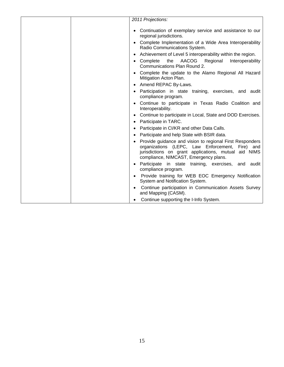| 2011 Projections:                                                                                                                                                                                            |
|--------------------------------------------------------------------------------------------------------------------------------------------------------------------------------------------------------------|
|                                                                                                                                                                                                              |
| • Continuation of exemplary service and assistance to our<br>regional jurisdictions.                                                                                                                         |
| • Complete Implementation of a Wide Area Interoperability<br>Radio Communications System.                                                                                                                    |
| Achievement of Level 5 interoperability within the region.                                                                                                                                                   |
| AACOG<br>Complete<br>the<br>Regional<br>Interoperability<br>Communications Plan Round 2.                                                                                                                     |
| Complete the update to the Alamo Regional All Hazard<br>Mitigation Acton Plan.                                                                                                                               |
| Amend REPAC By-Laws.                                                                                                                                                                                         |
| Participation in state training, exercises, and audit<br>compliance program.                                                                                                                                 |
| Continue to participate in Texas Radio Coalition and<br>Interoperability.                                                                                                                                    |
| Continue to participate in Local, State and DOD Exercises.                                                                                                                                                   |
| Participate in TARC.                                                                                                                                                                                         |
| Participate in CI/KR and other Data Calls.                                                                                                                                                                   |
| Participate and help State with BSIR data.                                                                                                                                                                   |
| Provide guidance and vision to regional First Responders<br>organizations (LEPC, Law Enforcement, Fire) and<br>jurisdictions on grant applications, mutual aid NIMS<br>compliance, NIMCAST, Emergency plans. |
| Participate in state training, exercises, and audit<br>compliance program.                                                                                                                                   |
| Provide training for WEB EOC Emergency Notification<br>$\bullet$<br>System and Notification System.                                                                                                          |
| Continue participation in Communication Assets Survey<br>and Mapping (CASM).                                                                                                                                 |
| Continue supporting the I-Info System.                                                                                                                                                                       |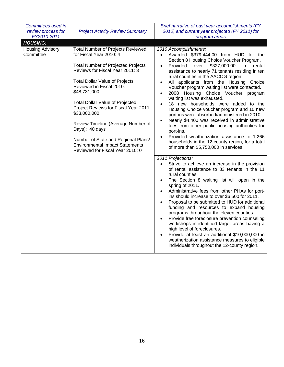| Committees used in<br>review process for<br>FY2010-2011                                                                                                                                                                                                                                                                                                                                                                                                                                                                                                          | <b>Project Activity Review Summary</b>                                                                                                                                                                                                                                                                                                                                                                                                                                                                                                                                                                                                                                                                                                                                                                                                                                                                                 | Brief narrative of past year accomplishments (FY<br>2010) and current year projected (FY 2011) for<br>program areas                                                                                                                                                                                                                                                                                                                                                                                                                                                                                                                                                                                                                                                                                        |
|------------------------------------------------------------------------------------------------------------------------------------------------------------------------------------------------------------------------------------------------------------------------------------------------------------------------------------------------------------------------------------------------------------------------------------------------------------------------------------------------------------------------------------------------------------------|------------------------------------------------------------------------------------------------------------------------------------------------------------------------------------------------------------------------------------------------------------------------------------------------------------------------------------------------------------------------------------------------------------------------------------------------------------------------------------------------------------------------------------------------------------------------------------------------------------------------------------------------------------------------------------------------------------------------------------------------------------------------------------------------------------------------------------------------------------------------------------------------------------------------|------------------------------------------------------------------------------------------------------------------------------------------------------------------------------------------------------------------------------------------------------------------------------------------------------------------------------------------------------------------------------------------------------------------------------------------------------------------------------------------------------------------------------------------------------------------------------------------------------------------------------------------------------------------------------------------------------------------------------------------------------------------------------------------------------------|
| <b>HOUSING:</b>                                                                                                                                                                                                                                                                                                                                                                                                                                                                                                                                                  |                                                                                                                                                                                                                                                                                                                                                                                                                                                                                                                                                                                                                                                                                                                                                                                                                                                                                                                        |                                                                                                                                                                                                                                                                                                                                                                                                                                                                                                                                                                                                                                                                                                                                                                                                            |
| <b>Housing Advisory</b><br><b>Total Number of Projects Reviewed</b><br>for Fiscal Year 2010: 4<br>Committee<br><b>Total Number of Projected Projects</b><br>Reviews for Fiscal Year 2011: 3<br><b>Total Dollar Value of Projects</b><br>Reviewed in Fiscal 2010:<br>\$48,731,000<br><b>Total Dollar Value of Projected</b><br>Project Reviews for Fiscal Year 2011:<br>\$33,000,000<br>Review Timeline (Average Number of<br>Days): 40 days<br>Number of State and Regional Plans/<br><b>Environmental Impact Statements</b><br>Reviewed for Fiscal Year 2010: 0 | 2010 Accomplishments:<br>Awarded \$379,444.00 from HUD for the<br>$\bullet$<br>Section 8 Housing Choice Voucher Program.<br>\$327,000.00<br>Provided<br>over<br>in<br>rental<br>$\bullet$<br>assistance to nearly 71 tenants residing in ten<br>rural counties in the AACOG region.<br>All applicants from the Housing Choice<br>$\bullet$<br>Voucher program waiting list were contacted.<br>2008 Housing Choice Voucher<br>program<br>$\bullet$<br>waiting list was exhausted.<br>18 new households were added to the<br>$\bullet$<br>Housing Choice voucher program and 10 new<br>port-ins were absorbed/administered in 2010.<br>Nearly \$4,400 was received in administrative<br>$\bullet$<br>fees from other public housing authorities for<br>port-ins.<br>Provided weatherization assistance to 1,266<br>$\bullet$<br>households in the 12-county region, for a total<br>of more than \$5,750,000 in services. |                                                                                                                                                                                                                                                                                                                                                                                                                                                                                                                                                                                                                                                                                                                                                                                                            |
|                                                                                                                                                                                                                                                                                                                                                                                                                                                                                                                                                                  |                                                                                                                                                                                                                                                                                                                                                                                                                                                                                                                                                                                                                                                                                                                                                                                                                                                                                                                        | 2011 Projections:<br>Strive to achieve an increase in the provision<br>of rental assistance to 83 tenants in the 11<br>rural counties.<br>The Section 8 waiting list will open in the<br>$\bullet$<br>spring of 2011.<br>Administrative fees from other PHAs for port-<br>$\bullet$<br>ins should increase to over \$6,500 for 2011.<br>Proposal to be submitted to HUD for additional<br>$\bullet$<br>funding and resources to expand housing<br>programs throughout the eleven counties.<br>Provide free foreclosure prevention counseling<br>$\bullet$<br>workshops in identified target areas having a<br>high level of foreclosures.<br>Provide at least an additional \$10,000,000 in<br>$\bullet$<br>weatherization assistance measures to eligible<br>individuals throughout the 12-county region. |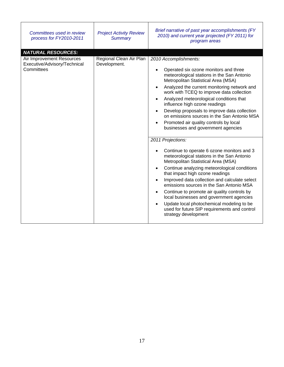| Committees used in review<br>process for FY2010-2011                                                 | <b>Project Activity Review</b><br><b>Summary</b> | Brief narrative of past year accomplishments (FY<br>2010) and current year projected (FY 2011) for<br>program areas                                                                                                                                                                                                                                                                                                                                                                                                                                                                                                                                                                                                                                                                                                                                                                                                                                                                                                                                                |
|------------------------------------------------------------------------------------------------------|--------------------------------------------------|--------------------------------------------------------------------------------------------------------------------------------------------------------------------------------------------------------------------------------------------------------------------------------------------------------------------------------------------------------------------------------------------------------------------------------------------------------------------------------------------------------------------------------------------------------------------------------------------------------------------------------------------------------------------------------------------------------------------------------------------------------------------------------------------------------------------------------------------------------------------------------------------------------------------------------------------------------------------------------------------------------------------------------------------------------------------|
| <b>NATURAL RESOURCES:</b><br>Air Improvement Resources<br>Executive/Advisory/Technical<br>Committees | Regional Clean Air Plan<br>Development.          | 2010 Accomplishments:<br>Operated six ozone monitors and three<br>meteorological stations in the San Antonio<br>Metropolitan Statistical Area (MSA)<br>Analyzed the current monitoring network and<br>work with TCEQ to improve data collection<br>Analyzed meteorological conditions that<br>influence high ozone readings<br>Develop proposals to improve data collection<br>on emissions sources in the San Antonio MSA<br>Promoted air quality controls by local<br>businesses and government agencies<br>2011 Projections:<br>Continue to operate 6 ozone monitors and 3<br>meteorological stations in the San Antonio<br>Metropolitan Statistical Area (MSA)<br>Continue analyzing meteorological conditions<br>that impact high ozone readings<br>Improved data collection and calculate select<br>emissions sources in the San Antonio MSA<br>Continue to promote air quality controls by<br>local businesses and government agencies<br>Update local photochemical modeling to be<br>used for future SIP requirements and control<br>strategy development |

r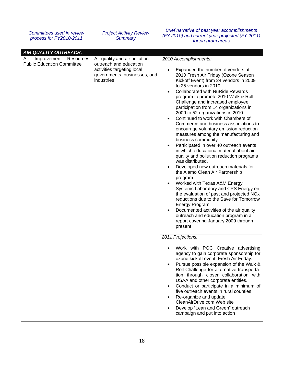| Committees used in review<br>process for FY2010-2011                                              | <b>Project Activity Review</b><br><b>Summary</b>                                                                                    | Brief narrative of past year accomplishments<br>(FY 2010) and current year projected (FY 2011)<br>for program areas                                                                                                                                                                                                                                                                                                                                                                                                                                                                                                                                                                                                                                                                                                                                                                                                                                                                                                                                                                                                                                                                                                                |
|---------------------------------------------------------------------------------------------------|-------------------------------------------------------------------------------------------------------------------------------------|------------------------------------------------------------------------------------------------------------------------------------------------------------------------------------------------------------------------------------------------------------------------------------------------------------------------------------------------------------------------------------------------------------------------------------------------------------------------------------------------------------------------------------------------------------------------------------------------------------------------------------------------------------------------------------------------------------------------------------------------------------------------------------------------------------------------------------------------------------------------------------------------------------------------------------------------------------------------------------------------------------------------------------------------------------------------------------------------------------------------------------------------------------------------------------------------------------------------------------|
| <b>AIR QUALITY OUTREACH:</b><br>Improvement Resources<br>Air<br><b>Public Education Committee</b> | Air quality and air pollution<br>outreach and education<br>activities targeting local<br>governments, businesses, and<br>industries | 2010 Accomplishments:<br>Expanded the number of vendors at<br>$\bullet$<br>2010 Fresh Air Friday (Ozone Season<br>Kickoff Event) from 24 vendors in 2009<br>to 25 vendors in 2010.<br><b>Collaborated with NuRide Rewards</b><br>$\bullet$<br>program to promote 2010 Walk & Roll<br>Challenge and increased employee<br>participation from 14 organizations in<br>2009 to 52 organizations in 2010.<br>Continued to work with Chambers of<br>Commerce and business associations to<br>encourage voluntary emission reduction<br>measures among the manufacturing and<br>business community.<br>Participated in over 40 outreach events<br>in which educational material about air<br>quality and pollution reduction programs<br>was distributed.<br>Developed new outreach materials for<br>$\bullet$<br>the Alamo Clean Air Partnership<br>program<br>Worked with Texas A&M Energy<br>$\bullet$<br>Systems Laboratory and CPS Energy on<br>the evaluation of past and projected NOx<br>reductions due to the Save for Tomorrow<br><b>Energy Program</b><br>Documented activities of the air quality<br>$\bullet$<br>outreach and education program in a<br>report covering January 2009 through<br>present<br>2011 Projections: |
|                                                                                                   |                                                                                                                                     | Work with PGC Creative advertising<br>agency to gain corporate sponsorship for<br>ozone kickoff event; Fresh Air Friday.<br>Pursue possible expansion of the Walk &<br>$\bullet$<br>Roll Challenge for alternative transporta-<br>tion through closer collaboration with<br>USAA and other corporate entities.<br>Conduct or participate in a minimum of<br>$\bullet$<br>five outreach events in rural counties<br>Re-organize and update<br>٠<br>CleanAirDrive.com Web site<br>Develop "Lean and Green" outreach<br>$\bullet$<br>campaign and put into action                                                                                                                                                                                                                                                                                                                                                                                                                                                                                                                                                                                                                                                                     |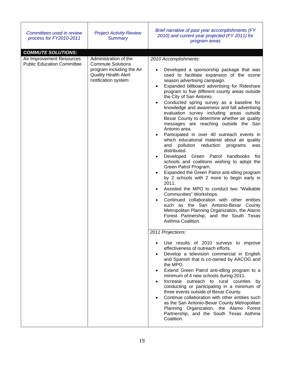| Committees used in review<br><b>Project Activity Review</b><br>process for FY2010-2011<br><b>Summary</b>                                                                                               | Brief narrative of past year accomplishments (FY<br>2010) and current year projected (FY 2011) for<br>program areas                                                                                                                                                                                                                                                                                                                                                                                                                                                                                                                                                                                                                                                                                                                                                                                                                                                                                                                                                                                                                                                                                                                                                                                                                                                                                                                                                                                                                                                                                                                                                                                                                                                                                                                                           |
|--------------------------------------------------------------------------------------------------------------------------------------------------------------------------------------------------------|---------------------------------------------------------------------------------------------------------------------------------------------------------------------------------------------------------------------------------------------------------------------------------------------------------------------------------------------------------------------------------------------------------------------------------------------------------------------------------------------------------------------------------------------------------------------------------------------------------------------------------------------------------------------------------------------------------------------------------------------------------------------------------------------------------------------------------------------------------------------------------------------------------------------------------------------------------------------------------------------------------------------------------------------------------------------------------------------------------------------------------------------------------------------------------------------------------------------------------------------------------------------------------------------------------------------------------------------------------------------------------------------------------------------------------------------------------------------------------------------------------------------------------------------------------------------------------------------------------------------------------------------------------------------------------------------------------------------------------------------------------------------------------------------------------------------------------------------------------------|
| <b>COMMUTE SOLUTIONS:</b>                                                                                                                                                                              |                                                                                                                                                                                                                                                                                                                                                                                                                                                                                                                                                                                                                                                                                                                                                                                                                                                                                                                                                                                                                                                                                                                                                                                                                                                                                                                                                                                                                                                                                                                                                                                                                                                                                                                                                                                                                                                               |
| Administration of the<br>Air Improvement Resources<br><b>Public Education Committee</b><br><b>Commute Solutions</b><br>program including the Air<br><b>Quality Health Alert</b><br>notification system | 2010 Accomplishments:<br>Developed a sponsorship package that was<br>used to facilitate expansion of the ozone<br>season advertising campaign.<br>Expanded billboard advertising for Rideshare<br>program to five different county areas outside<br>the City of San Antonio.<br>Conducted spring survey as a baseline for<br>knowledge and awareness and fall advertising<br>evaluation survey including areas outside<br>Bexar County to determine whether air quality<br>messages are reaching outside the San<br>Antonio area.<br>Participated in over 40 outreach events in<br>which educational material about air quality<br>and<br>pollution reduction<br>programs<br>was<br>distributed.<br>Developed Green Patrol<br>handbooks<br>for<br>schools and coalitions wishing to adopt the<br>Green Patrol Program.<br>Expanded the Green Patrol anti-idling program<br>by 2 schools with 2 more to begin early in<br>2011.<br>Assisted the MPO to conduct two "Walkable"<br>Communities" Workshops.<br>Continued collaboration with other entities<br>such as the San Antonio-Bexar County<br>Metropolitan Planning Organization, the Alamo<br>Forest Partnership, and the South Texas<br>Asthma Coalition.<br>2011 Projections:<br>Use results of 2010 surveys to improve<br>effectiveness of outreach efforts.<br>Develop a television commercial in English<br>and Spanish that is co-owned by AACOG and<br>the MPO.<br>Extend Green Patrol anti-idling program to a<br>minimum of 4 new schools during 2011.<br>Increase outreach to rural counties by<br>conducting or participating in a minimum of<br>three events outside of Bexar County.<br>Continue collaboration with other entities such<br>as the San Antonio-Bexar County Metropolitan<br>Planning Organization, the Alamo Forest<br>Partnership, and the South Texas Asthma<br>Coalition. |
|                                                                                                                                                                                                        |                                                                                                                                                                                                                                                                                                                                                                                                                                                                                                                                                                                                                                                                                                                                                                                                                                                                                                                                                                                                                                                                                                                                                                                                                                                                                                                                                                                                                                                                                                                                                                                                                                                                                                                                                                                                                                                               |
|                                                                                                                                                                                                        |                                                                                                                                                                                                                                                                                                                                                                                                                                                                                                                                                                                                                                                                                                                                                                                                                                                                                                                                                                                                                                                                                                                                                                                                                                                                                                                                                                                                                                                                                                                                                                                                                                                                                                                                                                                                                                                               |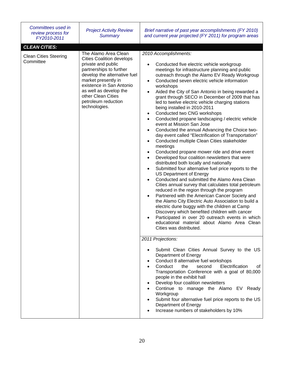| Committees used in<br>review process for<br>FY2010-2011 | <b>Project Activity Review</b><br><b>Summary</b>                                                                                                                                                                                                                                     | Brief narrative of past year accomplishments (FY 2010)<br>and current year projected (FY 2011) for program areas                                                                                                                                                                                                                                                                                                                                                                                                                                                                                                                                                                                                                                                                                                                                                                                                                                                                                                                                                                                                                                                                                                                                                                                                                                                                                                                                                                                                                                                                                                                                                                                                                                                                                                                                                                                                                                                                                                                                                                                  |
|---------------------------------------------------------|--------------------------------------------------------------------------------------------------------------------------------------------------------------------------------------------------------------------------------------------------------------------------------------|---------------------------------------------------------------------------------------------------------------------------------------------------------------------------------------------------------------------------------------------------------------------------------------------------------------------------------------------------------------------------------------------------------------------------------------------------------------------------------------------------------------------------------------------------------------------------------------------------------------------------------------------------------------------------------------------------------------------------------------------------------------------------------------------------------------------------------------------------------------------------------------------------------------------------------------------------------------------------------------------------------------------------------------------------------------------------------------------------------------------------------------------------------------------------------------------------------------------------------------------------------------------------------------------------------------------------------------------------------------------------------------------------------------------------------------------------------------------------------------------------------------------------------------------------------------------------------------------------------------------------------------------------------------------------------------------------------------------------------------------------------------------------------------------------------------------------------------------------------------------------------------------------------------------------------------------------------------------------------------------------------------------------------------------------------------------------------------------------|
| <b>CLEAN CITIES:</b>                                    |                                                                                                                                                                                                                                                                                      |                                                                                                                                                                                                                                                                                                                                                                                                                                                                                                                                                                                                                                                                                                                                                                                                                                                                                                                                                                                                                                                                                                                                                                                                                                                                                                                                                                                                                                                                                                                                                                                                                                                                                                                                                                                                                                                                                                                                                                                                                                                                                                   |
| <b>Clean Cities Steering</b><br>Committee               | The Alamo Area Clean<br><b>Cities Coalition develops</b><br>private and public<br>partnerships to further<br>develop the alternative fuel<br>market presently in<br>existence in San Antonio<br>as well as develop the<br>other Clean Cities<br>petroleum reduction<br>technologies. | 2010 Accomplishments:<br>Conducted five electric vehicle workgroup<br>$\bullet$<br>meetings for infrastructure planning and public<br>outreach through the Alamo EV Ready Workgroup<br>Conducted seven electric vehicle information<br>$\bullet$<br>workshops<br>Aided the City of San Antonio in being rewarded a<br>$\bullet$<br>grant through SECO in December of 2009 that has<br>led to twelve electric vehicle charging stations<br>being installed in 2010-2011<br>Conducted two CNG workshops<br>$\bullet$<br>Conducted propane landscaping / electric vehicle<br>$\bullet$<br>event at Mission San Jose<br>Conducted the annual Advancing the Choice two-<br>$\bullet$<br>day event called "Electrification of Transportation"<br>Conducted multiple Clean Cities stakeholder<br>$\bullet$<br>meetings<br>Conducted propane mower ride and drive event<br>$\bullet$<br>Developed four coalition newsletters that were<br>$\bullet$<br>distributed both locally and nationally<br>Submitted four alternative fuel price reports to the<br>$\bullet$<br>US Department of Energy<br>Conducted and submitted the Alamo Area Clean<br>$\bullet$<br>Cities annual survey that calculates total petroleum<br>reduced in the region through the program<br>Partnered with the American Cancer Society and<br>$\bullet$<br>the Alamo City Electric Auto Association to build a<br>electric dune buggy with the children at Camp<br>Discovery which benefited children with cancer<br>Participated in over 20 outreach events in which<br>$\bullet$<br>educational material about Alamo Area Clean<br>Cities was distributed.<br>2011 Projections:<br>Submit Clean Cities Annual Survey to the US<br>٠<br>Department of Energy<br>Conduct 8 alternative fuel workshops<br>٠<br>second<br>Electrification<br>Conduct<br>the<br>οf<br>Transportation Conference with a goal of 80,000<br>people in the exhibit hall<br>Develop four coalition newsletters<br>Continue to manage the Alamo EV Ready<br>Workgroup<br>Submit four alternative fuel price reports to the US<br>٠<br>Department of Energy |
|                                                         |                                                                                                                                                                                                                                                                                      | Increase numbers of stakeholders by 10%                                                                                                                                                                                                                                                                                                                                                                                                                                                                                                                                                                                                                                                                                                                                                                                                                                                                                                                                                                                                                                                                                                                                                                                                                                                                                                                                                                                                                                                                                                                                                                                                                                                                                                                                                                                                                                                                                                                                                                                                                                                           |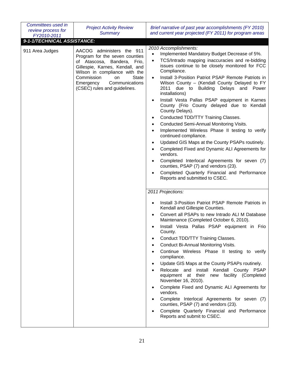| Committees used in<br>review process for<br>FY2010-2011 | <b>Project Activity Review</b><br><b>Summary</b>                                                                                                                                                                                                                     | Brief narrative of past year accomplishments (FY 2010)<br>and current year projected (FY 2011) for program areas                                                                                                                                                                                                                                                                                                                                                                                                                                                                                                                                                                                                                                                                                                                                                                                                                                                                                                                                                                                                                                                                                                                                                                                                                                                                                                                                                                                                                                                                                                                                                                                                                                                                                                                       |
|---------------------------------------------------------|----------------------------------------------------------------------------------------------------------------------------------------------------------------------------------------------------------------------------------------------------------------------|----------------------------------------------------------------------------------------------------------------------------------------------------------------------------------------------------------------------------------------------------------------------------------------------------------------------------------------------------------------------------------------------------------------------------------------------------------------------------------------------------------------------------------------------------------------------------------------------------------------------------------------------------------------------------------------------------------------------------------------------------------------------------------------------------------------------------------------------------------------------------------------------------------------------------------------------------------------------------------------------------------------------------------------------------------------------------------------------------------------------------------------------------------------------------------------------------------------------------------------------------------------------------------------------------------------------------------------------------------------------------------------------------------------------------------------------------------------------------------------------------------------------------------------------------------------------------------------------------------------------------------------------------------------------------------------------------------------------------------------------------------------------------------------------------------------------------------------|
| 9-1-1/TECHNICAL ASSISTANCE:                             |                                                                                                                                                                                                                                                                      |                                                                                                                                                                                                                                                                                                                                                                                                                                                                                                                                                                                                                                                                                                                                                                                                                                                                                                                                                                                                                                                                                                                                                                                                                                                                                                                                                                                                                                                                                                                                                                                                                                                                                                                                                                                                                                        |
| 911 Area Judges                                         | AACOG administers the 911<br>Program for the seven counties<br>of Atascosa,<br>Bandera, Frio,<br>Gillespie, Karnes, Kendall, and<br>Wilson in compliance with the<br>Commission<br><b>State</b><br>on<br>Emergency<br>Communications<br>(CSEC) rules and guidelines. | 2010 Accomplishments:<br>Implemented Mandatory Budget Decrease of 5%.<br>$\bullet$<br>TCS/Intrado mapping inaccuracies and re-bidding<br>$\bullet$<br>issues continue to be closely monitored for FCC<br>Compliance.<br>Install 3-Position Patriot PSAP Remote Patriots in<br>Wilson County - (Kendall County Delayed to FY<br>Building Delays and Power<br>2011<br>due to<br>installations)<br>Install Vesta Pallas PSAP equipment in Karnes<br>County (Frio County delayed due to Kendall<br>County Delays).<br>Conducted TDD/TTY Training Classes.<br>٠<br>Conducted Semi-Annual Monitoring Visits.<br>$\bullet$<br>Implemented Wireless Phase II testing to verify<br>continued compliance.<br>Updated GIS Maps at the County PSAPs routinely.<br>$\bullet$<br>Completed Fixed and Dynamic ALI Agreements for<br>vendors.<br>Completed Interlocal Agreements for seven (7)<br>counties, PSAP (7) and vendors (23).<br>Completed Quarterly Financial and Performance<br>Reports and submitted to CSEC.<br>2011 Projections:<br>Install 3-Position Patriot PSAP Remote Patriots in<br>Kendall and Gillespie Counties.<br>Convert all PSAPs to new Intrado ALI M Database<br>Maintenance (Completed October 6, 2010).<br>Install Vesta Pallas PSAP equipment in Frio<br>County.<br>Conduct TDD/TTY Training Classes.<br>Conduct Bi-Annual Monitoring Visits.<br>Continue Wireless Phase II testing to verify<br>compliance.<br>Update GIS Maps at the County PSAPs routinely.<br>Relocate and<br>install Kendall County PSAP<br>equipment at their new facility (Completed<br>November 16, 2010).<br>Complete Fixed and Dynamic ALI Agreements for<br>vendors.<br>Complete Interlocal Agreements for seven (7)<br>counties, PSAP (7) and vendors (23).<br>Complete Quarterly Financial and Performance<br>Reports and submit to CSEC. |
|                                                         |                                                                                                                                                                                                                                                                      |                                                                                                                                                                                                                                                                                                                                                                                                                                                                                                                                                                                                                                                                                                                                                                                                                                                                                                                                                                                                                                                                                                                                                                                                                                                                                                                                                                                                                                                                                                                                                                                                                                                                                                                                                                                                                                        |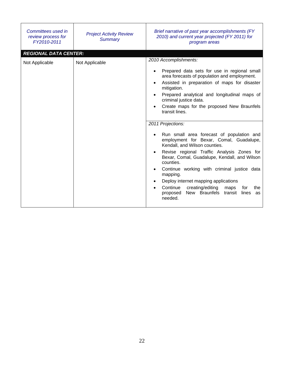| Committees used in<br>review process for<br>FY2010-2011 | <b>Project Activity Review</b><br><b>Summary</b> | Brief narrative of past year accomplishments (FY<br>2010) and current year projected (FY 2011) for<br>program areas                                                                                                                                                                                                                                                                                                                                   |
|---------------------------------------------------------|--------------------------------------------------|-------------------------------------------------------------------------------------------------------------------------------------------------------------------------------------------------------------------------------------------------------------------------------------------------------------------------------------------------------------------------------------------------------------------------------------------------------|
| <b>REGIONAL DATA CENTER:</b><br>Not Applicable          | Not Applicable                                   | 2010 Accomplishments:<br>Prepared data sets for use in regional small<br>area forecasts of population and employment.<br>Assisted in preparation of maps for disaster<br>mitigation.<br>Prepared analytical and longitudinal maps of<br>criminal justice data.<br>Create maps for the proposed New Braunfels<br>transit lines.<br>2011 Projections:                                                                                                   |
|                                                         |                                                  | Run small area forecast of population and<br>employment for Bexar, Comal, Guadalupe,<br>Kendall, and Wilson counties.<br>Revise regional Traffic Analysis Zones for<br>Bexar, Comal, Guadalupe, Kendall, and Wilson<br>counties.<br>Continue working with criminal justice data<br>mapping.<br>Deploy internet mapping applications<br>Continue<br>creating/editing<br>maps<br>the<br>for<br>New Braunfels transit lines<br>proposed<br>as<br>needed. |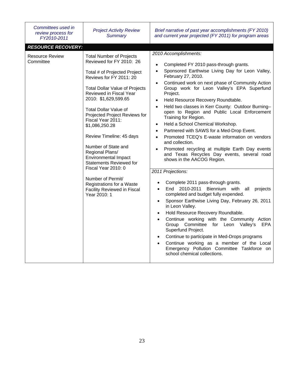| Committees used in<br>review process for<br>FY2010-2011                                                                                                                                                                                                                                                                                                                                                                                                                                                                         | <b>Project Activity Review</b><br><b>Summary</b>                                                                                                                                                                                                                                                                                                                                                                                                                                                                                                                                                                                                                                                                                                                                                                                                         | Brief narrative of past year accomplishments (FY 2010)<br>and current year projected (FY 2011) for program areas                                                                                                                                                                                                                                                                                                                                                                                                                                                                                |
|---------------------------------------------------------------------------------------------------------------------------------------------------------------------------------------------------------------------------------------------------------------------------------------------------------------------------------------------------------------------------------------------------------------------------------------------------------------------------------------------------------------------------------|----------------------------------------------------------------------------------------------------------------------------------------------------------------------------------------------------------------------------------------------------------------------------------------------------------------------------------------------------------------------------------------------------------------------------------------------------------------------------------------------------------------------------------------------------------------------------------------------------------------------------------------------------------------------------------------------------------------------------------------------------------------------------------------------------------------------------------------------------------|-------------------------------------------------------------------------------------------------------------------------------------------------------------------------------------------------------------------------------------------------------------------------------------------------------------------------------------------------------------------------------------------------------------------------------------------------------------------------------------------------------------------------------------------------------------------------------------------------|
| <b>RESOURCE RECOVERY:</b>                                                                                                                                                                                                                                                                                                                                                                                                                                                                                                       |                                                                                                                                                                                                                                                                                                                                                                                                                                                                                                                                                                                                                                                                                                                                                                                                                                                          |                                                                                                                                                                                                                                                                                                                                                                                                                                                                                                                                                                                                 |
| <b>Resource Review</b><br><b>Total Number of Projects</b><br>Reviewed for FY 2010: 26<br>Committee<br>Total # of Projected Project<br>Reviews for FY 2011: 20<br><b>Total Dollar Value of Projects</b><br>Reviewed in Fiscal Year<br>2010: \$1,629,599.65<br><b>Total Dollar Value of</b><br>Projected Project Reviews for<br>Fiscal Year 2011:<br>\$1,086,250.28<br>Review Timeline: 45 days<br>Number of State and<br>Regional Plans/<br><b>Environmental Impact</b><br><b>Statements Reviewed for</b><br>Fiscal Year 2010: 0 | 2010 Accomplishments:<br>Completed FY 2010 pass-through grants.<br>$\bullet$<br>Sponsored Earthwise Living Day for Leon Valley,<br>$\bullet$<br>February 27, 2010.<br>Continued work on next phase of Community Action<br>$\bullet$<br>Group work for Leon Valley's EPA Superfund<br>Project.<br>Held Resource Recovery Roundtable.<br>$\bullet$<br>Held two classes in Kerr County: Outdoor Burning-<br>$\bullet$<br>open to Region and Public Local Enforcement<br>Training for Region.<br>Held a School Chemical Workshop.<br>$\bullet$<br>Partnered with SAWS for a Med-Drop Event.<br>$\bullet$<br>Promoted TCEQ's E-waste information on vendors<br>$\bullet$<br>and collection.<br>Promoted recycling at multiple Earth Day events<br>$\bullet$<br>and Texas Recycles Day events, several road<br>shows in the AACOG Region.<br>2011 Projections: |                                                                                                                                                                                                                                                                                                                                                                                                                                                                                                                                                                                                 |
|                                                                                                                                                                                                                                                                                                                                                                                                                                                                                                                                 | Number of Permit/<br>Registrations for a Waste<br><b>Facility Reviewed in Fiscal</b><br>Year 2010: 1                                                                                                                                                                                                                                                                                                                                                                                                                                                                                                                                                                                                                                                                                                                                                     | Complete 2011 pass-through grants.<br>End 2010-2011<br>Biennium with all<br>projects<br>$\bullet$<br>completed and budget fully expended.<br>Sponsor Earthwise Living Day, February 26, 2011<br>$\bullet$<br>in Leon Valley.<br>Hold Resource Recovery Roundtable.<br>$\bullet$<br>Continue working with the Community Action<br>$\bullet$<br>Group Committee for Leon Valley's<br><b>EPA</b><br>Superfund Project.<br>Continue to participate in Med-Drops programs<br>Continue working as a member of the Local<br>Emergency Pollution Committee Taskforce on<br>school chemical collections. |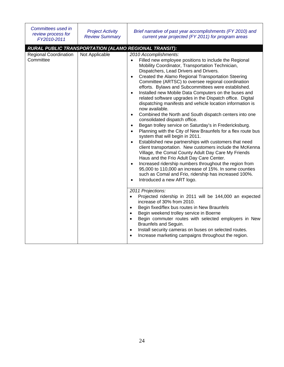| Committees used in<br>review process for<br>FY2010-2011 | <b>Project Activity</b><br><b>Review Summary</b> | Brief narrative of past year accomplishments (FY 2010) and<br>current year projected (FY 2011) for program areas                                                                                                                                                                                                                                                                                                                                                                                                                                                                                                                                                                                                                                                                                                                                                                                                                                                                                                                                                                                                                                                                                                                                                                                                                                       |
|---------------------------------------------------------|--------------------------------------------------|--------------------------------------------------------------------------------------------------------------------------------------------------------------------------------------------------------------------------------------------------------------------------------------------------------------------------------------------------------------------------------------------------------------------------------------------------------------------------------------------------------------------------------------------------------------------------------------------------------------------------------------------------------------------------------------------------------------------------------------------------------------------------------------------------------------------------------------------------------------------------------------------------------------------------------------------------------------------------------------------------------------------------------------------------------------------------------------------------------------------------------------------------------------------------------------------------------------------------------------------------------------------------------------------------------------------------------------------------------|
|                                                         |                                                  | RURAL PUBLIC TRANSPORTATION (ALAMO REGIONAL TRANSIT):                                                                                                                                                                                                                                                                                                                                                                                                                                                                                                                                                                                                                                                                                                                                                                                                                                                                                                                                                                                                                                                                                                                                                                                                                                                                                                  |
| <b>Regional Coordination</b><br>Committee               | Not Applicable                                   | 2010 Accomplishments:<br>Filled new employee positions to include the Regional<br>$\bullet$<br>Mobility Coordinator, Transportation Technician,<br>Dispatchers, Lead Drivers and Drivers.<br>Created the Alamo Regional Transportation Steering<br>$\bullet$<br>Committee (ARTSC) to oversee regional coordination<br>efforts. Bylaws and Subcommittees were established.<br>Installed new Mobile Data Computers on the buses and<br>$\bullet$<br>related software upgrades in the Dispatch office. Digital<br>dispatching manifests and vehicle location information is<br>now available.<br>Combined the North and South dispatch centers into one<br>$\bullet$<br>consolidated dispatch office.<br>Began trolley service on Saturday's in Fredericksburg.<br>$\bullet$<br>Planning with the City of New Braunfels for a flex route bus<br>$\bullet$<br>system that will begin in 2011.<br>Established new partnerships with customers that need<br>$\bullet$<br>client transportation. New customers include the McKenna<br>Village, the Comal County Adult Day Care My Friends<br>Haus and the Frio Adult Day Care Center.<br>Increased ridership numbers throughout the region from<br>$\bullet$<br>95,000 to 110,000 an increase of 15%. In some counties<br>such as Comal and Frio, ridership has increased 100%.<br>Introduced a new ART logo. |
|                                                         |                                                  | 2011 Projections:<br>Projected ridership in 2011 will be 144,000 an expected<br>$\bullet$<br>increase of 30% from 2010.<br>Begin fixed/flex bus routes in New Braunfels<br>$\bullet$<br>Begin weekend trolley service in Boerne<br>$\bullet$<br>Begin commuter routes with selected employers in New<br>$\bullet$<br>Braunfels and Seguin.<br>Install security cameras on buses on selected routes.<br>$\bullet$<br>Increase marketing campaigns throughout the region.                                                                                                                                                                                                                                                                                                                                                                                                                                                                                                                                                                                                                                                                                                                                                                                                                                                                                |